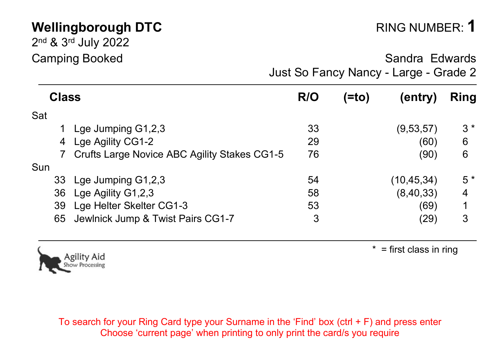2 nd & 3rd July 2022

Camping Booked **Sandra Edwards** Sandra Edwards Just So Fancy Nancy - Large - Grade 2

| <b>Class</b> |    | R/O                                          | (=to) | (entry) | Ring         |      |
|--------------|----|----------------------------------------------|-------|---------|--------------|------|
| Sat          |    |                                              |       |         |              |      |
|              |    | Lge Jumping $G1,2,3$                         | 33    |         | (9,53,57)    | $3*$ |
|              | 4  | Lge Agility CG1-2                            | 29    |         | (60)         | 6    |
|              |    | Crufts Large Novice ABC Agility Stakes CG1-5 | 76    |         | (90)         | 6    |
| Sun          |    |                                              |       |         |              |      |
|              | 33 | Lge Jumping $G1,2,3$                         | 54    |         | (10, 45, 34) | $5*$ |
|              | 36 | Lge Agility $G1,2,3$                         | 58    |         | (8, 40, 33)  | 4    |
|              | 39 | Lge Helter Skelter CG1-3                     | 53    |         | (69)         |      |
|              | 65 | Jewlnick Jump & Twist Pairs CG1-7            | 3     |         | (29)         | 3    |



 $*$  = first class in ring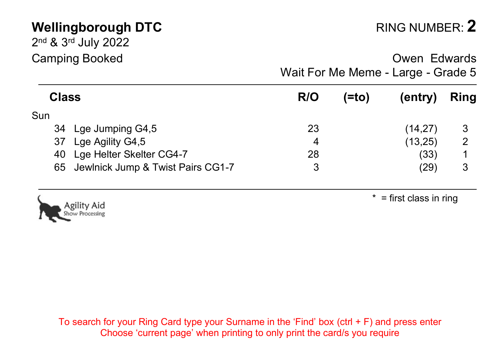2 nd & 3rd July 2022

Camping Booked **Camping Booked Camping Booked Owen** Edwards Wait For Me Meme - Large - Grade 5

| <b>Class</b> |                                      | R/O | (=to) | (entry)  | Ring |
|--------------|--------------------------------------|-----|-------|----------|------|
| Sun          |                                      |     |       |          |      |
|              | 34 Lge Jumping G4,5                  | 23  |       | (14, 27) | -3   |
|              | 37 Lge Agility G4,5                  | 4   |       | (13,25)  | 2    |
|              | 40 Lge Helter Skelter CG4-7          | 28  |       | (33)     |      |
|              | 65 Jewlnick Jump & Twist Pairs CG1-7 |     |       | (29)     | 3    |



 $* =$  first class in ring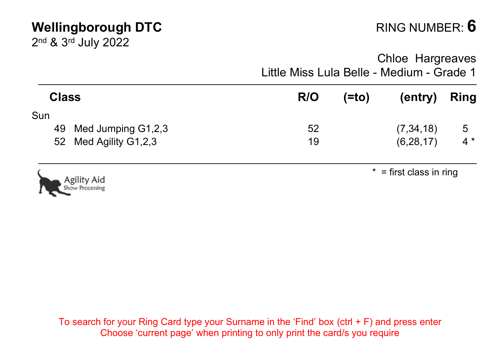2 nd & 3rd July 2022

Chloe Hargreaves Little Miss Lula Belle - Medium - Grade 1

| <b>Class</b>                   | R/O | (=to) | (entry)                   | <b>Ring</b> |
|--------------------------------|-----|-------|---------------------------|-------------|
| Sun                            |     |       |                           |             |
| 49 Med Jumping G1,2,3          | 52  |       | (7, 34, 18)               | 5           |
| 52 Med Agility G1,2,3          | 19  |       | (6, 28, 17)               | $4^*$       |
| Agility Aid<br>Show Processing |     |       | $*$ = first class in ring |             |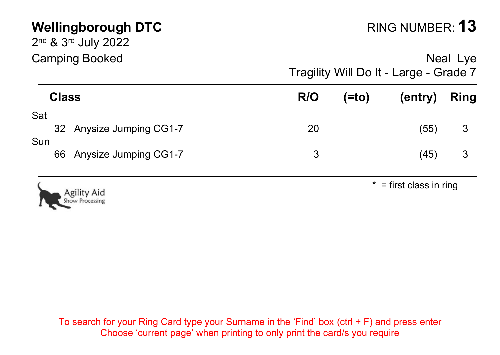|                  | <b>Wellingborough DTC</b><br>2nd & 3rd July 2022<br>Camping Booked |         |      | RING NUMBER: 13                        | Neal Lye |
|------------------|--------------------------------------------------------------------|---------|------|----------------------------------------|----------|
|                  |                                                                    |         |      | Tragility Will Do It - Large - Grade 7 |          |
| Class            |                                                                    | R/O     | (=to | (entry)                                | Ring     |
| Sat<br>Sun<br>66 | 32 Anysize Jumping CG1-7<br>Anysize Jumping CG1-7                  | 20<br>3 |      | (55)<br>(45)                           | 3<br>3   |

ility Aid

 $*$  = first class in ring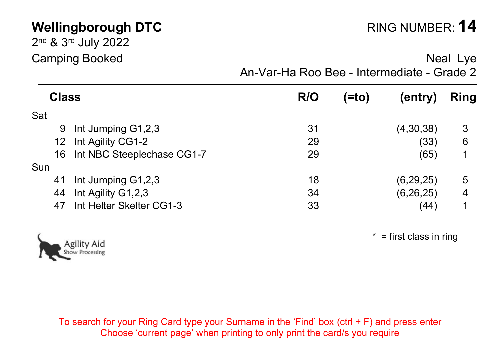2 nd & 3rd July 2022

Camping Booked **Neal Lye** Camping Booked **Neal Lye** An-Var-Ha Roo Bee - Intermediate - Grade 2

| <b>Class</b> |                            | R/O | (=to | (entry)     | Ring |
|--------------|----------------------------|-----|------|-------------|------|
| Sat          |                            |     |      |             |      |
| 9            | Int Jumping G1,2,3         | 31  |      | (4, 30, 38) | 3    |
|              | 12 Int Agility CG1-2       | 29  |      | (33)        | 6    |
| 16           | Int NBC Steeplechase CG1-7 | 29  |      | (65)        |      |
| Sun          |                            |     |      |             |      |
| 41           | Int Jumping G1,2,3         | 18  |      | (6, 29, 25) | 5    |
| 44           | Int Agility G1,2,3         | 34  |      | (6, 26, 25) | 4    |
| 47           | Int Helter Skelter CG1-3   | 33  |      | (44)        |      |
|              |                            |     |      |             |      |

 $*$  = first class in ring